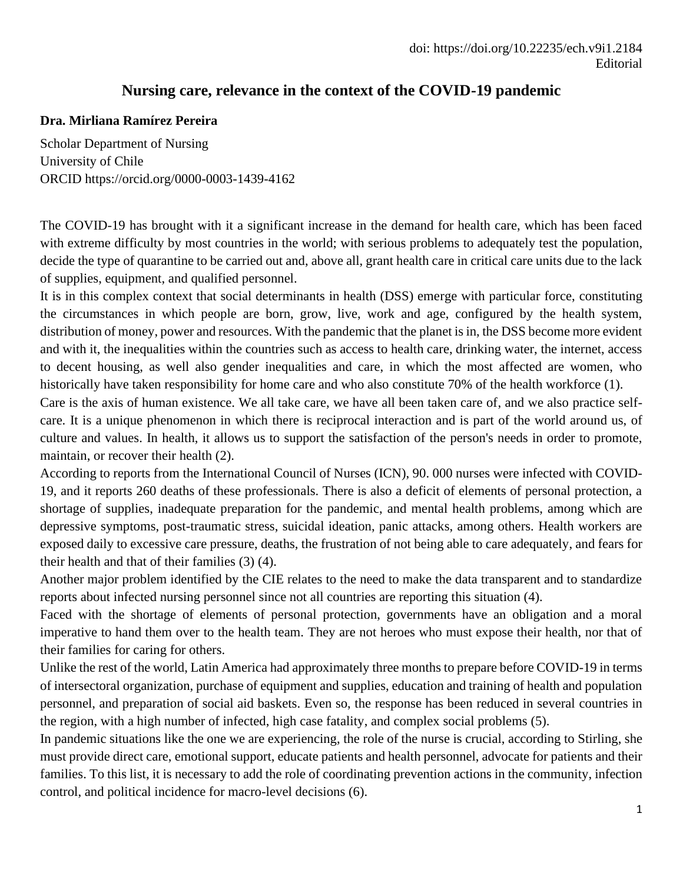## **Nursing care, relevance in the context of the COVID-19 pandemic**

## **Dra. Mirliana Ramírez Pereira**

Scholar Department of Nursing University of Chile ORCID https://orcid.org/0000-0003-1439-4162

The COVID-19 has brought with it a significant increase in the demand for health care, which has been faced with extreme difficulty by most countries in the world; with serious problems to adequately test the population, decide the type of quarantine to be carried out and, above all, grant health care in critical care units due to the lack of supplies, equipment, and qualified personnel.

It is in this complex context that social determinants in health (DSS) emerge with particular force, constituting the circumstances in which people are born, grow, live, work and age, configured by the health system, distribution of money, power and resources. With the pandemic that the planet is in, the DSS become more evident and with it, the inequalities within the countries such as access to health care, drinking water, the internet, access to decent housing, as well also gender inequalities and care, in which the most affected are women, who historically have taken responsibility for home care and who also constitute 70% of the health workforce (1).

Care is the axis of human existence. We all take care, we have all been taken care of, and we also practice selfcare. It is a unique phenomenon in which there is reciprocal interaction and is part of the world around us, of culture and values. In health, it allows us to support the satisfaction of the person's needs in order to promote, maintain, or recover their health (2).

According to reports from the International Council of Nurses (ICN), 90. 000 nurses were infected with COVID-19, and it reports 260 deaths of these professionals. There is also a deficit of elements of personal protection, a shortage of supplies, inadequate preparation for the pandemic, and mental health problems, among which are depressive symptoms, post-traumatic stress, suicidal ideation, panic attacks, among others. Health workers are exposed daily to excessive care pressure, deaths, the frustration of not being able to care adequately, and fears for their health and that of their families (3) (4).

Another major problem identified by the CIE relates to the need to make the data transparent and to standardize reports about infected nursing personnel since not all countries are reporting this situation (4).

Faced with the shortage of elements of personal protection, governments have an obligation and a moral imperative to hand them over to the health team. They are not heroes who must expose their health, nor that of their families for caring for others.

Unlike the rest of the world, Latin America had approximately three months to prepare before COVID-19 in terms of intersectoral organization, purchase of equipment and supplies, education and training of health and population personnel, and preparation of social aid baskets. Even so, the response has been reduced in several countries in the region, with a high number of infected, high case fatality, and complex social problems (5).

In pandemic situations like the one we are experiencing, the role of the nurse is crucial, according to Stirling, she must provide direct care, emotional support, educate patients and health personnel, advocate for patients and their families. To this list, it is necessary to add the role of coordinating prevention actions in the community, infection control, and political incidence for macro-level decisions (6).